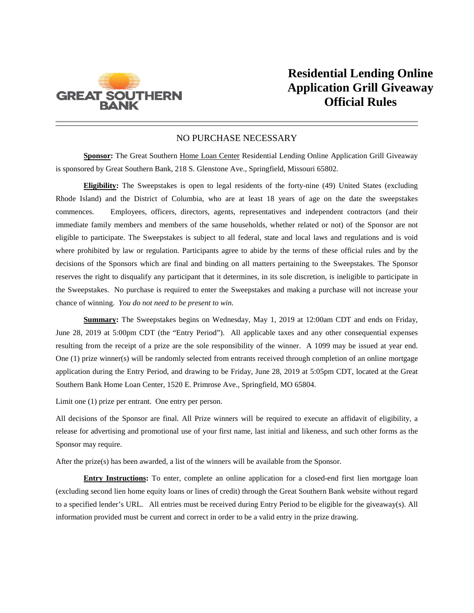

## NO PURCHASE NECESSARY

**Sponsor:** The Great Southern Home Loan Center Residential Lending Online Application Grill Giveaway is sponsored by Great Southern Bank, 218 S. Glenstone Ave., Springfield, Missouri 65802.

**Eligibility:** The Sweepstakes is open to legal residents of the forty-nine (49) United States (excluding Rhode Island) and the District of Columbia, who are at least 18 years of age on the date the sweepstakes commences. Employees, officers, directors, agents, representatives and independent contractors (and their immediate family members and members of the same households, whether related or not) of the Sponsor are not eligible to participate. The Sweepstakes is subject to all federal, state and local laws and regulations and is void where prohibited by law or regulation. Participants agree to abide by the terms of these official rules and by the decisions of the Sponsors which are final and binding on all matters pertaining to the Sweepstakes. The Sponsor reserves the right to disqualify any participant that it determines, in its sole discretion, is ineligible to participate in the Sweepstakes. No purchase is required to enter the Sweepstakes and making a purchase will not increase your chance of winning. *You do not need to be present to win.*

**Summary:** The Sweepstakes begins on Wednesday, May 1, 2019 at 12:00am CDT and ends on Friday, June 28, 2019 at 5:00pm CDT (the "Entry Period"). All applicable taxes and any other consequential expenses resulting from the receipt of a prize are the sole responsibility of the winner. A 1099 may be issued at year end. One (1) prize winner(s) will be randomly selected from entrants received through completion of an online mortgage application during the Entry Period, and drawing to be Friday, June 28, 2019 at 5:05pm CDT, located at the Great Southern Bank Home Loan Center, 1520 E. Primrose Ave., Springfield, MO 65804.

Limit one (1) prize per entrant. One entry per person.

All decisions of the Sponsor are final. All Prize winners will be required to execute an affidavit of eligibility, a release for advertising and promotional use of your first name, last initial and likeness, and such other forms as the Sponsor may require.

After the prize(s) has been awarded, a list of the winners will be available from the Sponsor.

**Entry Instructions:** To enter, complete an online application for a closed-end first lien mortgage loan (excluding second lien home equity loans or lines of credit) through the Great Southern Bank website without regard to a specified lender's URL. All entries must be received during Entry Period to be eligible for the giveaway(s). All information provided must be current and correct in order to be a valid entry in the prize drawing.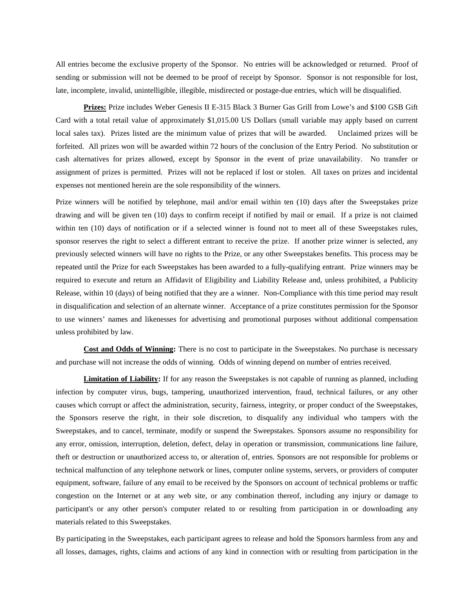All entries become the exclusive property of the Sponsor. No entries will be acknowledged or returned. Proof of sending or submission will not be deemed to be proof of receipt by Sponsor. Sponsor is not responsible for lost, late, incomplete, invalid, unintelligible, illegible, misdirected or postage-due entries, which will be disqualified.

**Prizes:** Prize includes Weber Genesis II E-315 Black 3 Burner Gas Grill from Lowe's and \$100 GSB Gift Card with a total retail value of approximately \$1,015.00 US Dollars (small variable may apply based on current local sales tax). Prizes listed are the minimum value of prizes that will be awarded. Unclaimed prizes will be forfeited. All prizes won will be awarded within 72 hours of the conclusion of the Entry Period. No substitution or cash alternatives for prizes allowed, except by Sponsor in the event of prize unavailability. No transfer or assignment of prizes is permitted. Prizes will not be replaced if lost or stolen. All taxes on prizes and incidental expenses not mentioned herein are the sole responsibility of the winners.

Prize winners will be notified by telephone, mail and/or email within ten (10) days after the Sweepstakes prize drawing and will be given ten (10) days to confirm receipt if notified by mail or email. If a prize is not claimed within ten (10) days of notification or if a selected winner is found not to meet all of these Sweepstakes rules, sponsor reserves the right to select a different entrant to receive the prize. If another prize winner is selected, any previously selected winners will have no rights to the Prize, or any other Sweepstakes benefits. This process may be repeated until the Prize for each Sweepstakes has been awarded to a fully-qualifying entrant. Prize winners may be required to execute and return an Affidavit of Eligibility and Liability Release and, unless prohibited, a Publicity Release, within 10 (days) of being notified that they are a winner. Non-Compliance with this time period may result in disqualification and selection of an alternate winner. Acceptance of a prize constitutes permission for the Sponsor to use winners' names and likenesses for advertising and promotional purposes without additional compensation unless prohibited by law.

**Cost and Odds of Winning:** There is no cost to participate in the Sweepstakes. No purchase is necessary and purchase will not increase the odds of winning. Odds of winning depend on number of entries received.

**Limitation of Liability:** If for any reason the Sweepstakes is not capable of running as planned, including infection by computer virus, bugs, tampering, unauthorized intervention, fraud, technical failures, or any other causes which corrupt or affect the administration, security, fairness, integrity, or proper conduct of the Sweepstakes, the Sponsors reserve the right, in their sole discretion, to disqualify any individual who tampers with the Sweepstakes, and to cancel, terminate, modify or suspend the Sweepstakes. Sponsors assume no responsibility for any error, omission, interruption, deletion, defect, delay in operation or transmission, communications line failure, theft or destruction or unauthorized access to, or alteration of, entries. Sponsors are not responsible for problems or technical malfunction of any telephone network or lines, computer online systems, servers, or providers of computer equipment, software, failure of any email to be received by the Sponsors on account of technical problems or traffic congestion on the Internet or at any web site, or any combination thereof, including any injury or damage to participant's or any other person's computer related to or resulting from participation in or downloading any materials related to this Sweepstakes.

By participating in the Sweepstakes, each participant agrees to release and hold the Sponsors harmless from any and all losses, damages, rights, claims and actions of any kind in connection with or resulting from participation in the